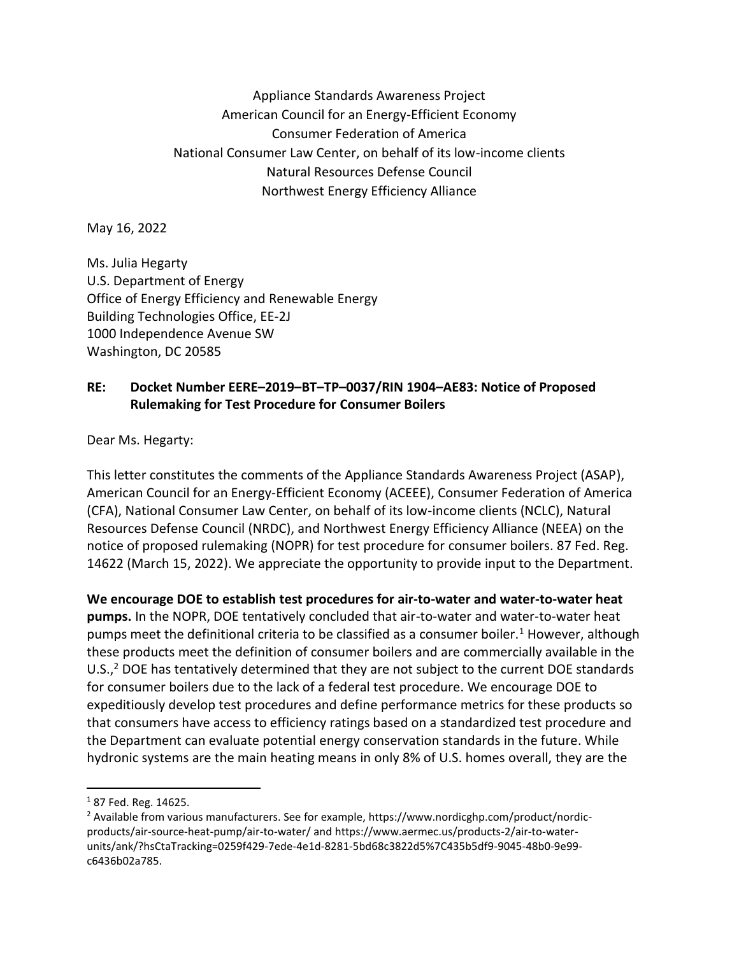Appliance Standards Awareness Project American Council for an Energy-Efficient Economy Consumer Federation of America National Consumer Law Center, on behalf of its low-income clients Natural Resources Defense Council Northwest Energy Efficiency Alliance

May 16, 2022

Ms. Julia Hegarty U.S. Department of Energy Office of Energy Efficiency and Renewable Energy Building Technologies Office, EE-2J 1000 Independence Avenue SW Washington, DC 20585

## **RE: Docket Number EERE–2019–BT–TP–0037/RIN 1904–AE83: Notice of Proposed Rulemaking for Test Procedure for Consumer Boilers**

Dear Ms. Hegarty:

This letter constitutes the comments of the Appliance Standards Awareness Project (ASAP), American Council for an Energy-Efficient Economy (ACEEE), Consumer Federation of America (CFA), National Consumer Law Center, on behalf of its low-income clients (NCLC), Natural Resources Defense Council (NRDC), and Northwest Energy Efficiency Alliance (NEEA) on the notice of proposed rulemaking (NOPR) for test procedure for consumer boilers. 87 Fed. Reg. 14622 (March 15, 2022). We appreciate the opportunity to provide input to the Department.

**We encourage DOE to establish test procedures for air-to-water and water-to-water heat pumps.** In the NOPR, DOE tentatively concluded that air-to-water and water-to-water heat pumps meet the definitional criteria to be classified as a consumer boiler.<sup>1</sup> However, although these products meet the definition of consumer boilers and are commercially available in the U.S., $<sup>2</sup>$  DOE has tentatively determined that they are not subject to the current DOE standards</sup> for consumer boilers due to the lack of a federal test procedure. We encourage DOE to expeditiously develop test procedures and define performance metrics for these products so that consumers have access to efficiency ratings based on a standardized test procedure and the Department can evaluate potential energy conservation standards in the future. While hydronic systems are the main heating means in only 8% of U.S. homes overall, they are the

<sup>1</sup> 87 Fed. Reg. 14625.

<sup>2</sup> Available from various manufacturers. See for example, https://www.nordicghp.com/product/nordicproducts/air-source-heat-pump/air-to-water/ and https://www.aermec.us/products-2/air-to-waterunits/ank/?hsCtaTracking=0259f429-7ede-4e1d-8281-5bd68c3822d5%7C435b5df9-9045-48b0-9e99 c6436b02a785.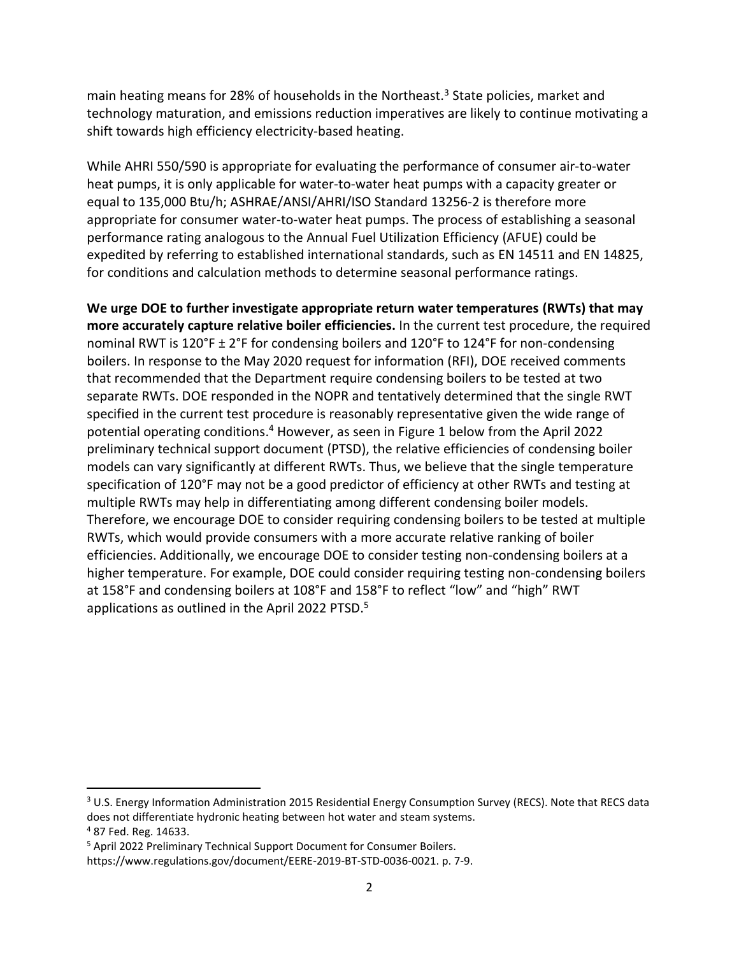main heating means for 28% of households in the Northeast.<sup>3</sup> State policies, market and technology maturation, and emissions reduction imperatives are likely to continue motivating a shift towards high efficiency electricity-based heating.

While AHRI 550/590 is appropriate for evaluating the performance of consumer air-to-water heat pumps, it is only applicable for water-to-water heat pumps with a capacity greater or equal to 135,000 Btu/h; ASHRAE/ANSI/AHRI/ISO Standard 13256-2 is therefore more appropriate for consumer water-to-water heat pumps. The process of establishing a seasonal performance rating analogous to the Annual Fuel Utilization Efficiency (AFUE) could be expedited by referring to established international standards, such as EN 14511 and EN 14825, for conditions and calculation methods to determine seasonal performance ratings.

**We urge DOE to further investigate appropriate return water temperatures (RWTs) that may more accurately capture relative boiler efficiencies.** In the current test procedure, the required nominal RWT is 120°F ± 2°F for condensing boilers and 120°F to 124°F for non-condensing boilers. In response to the May 2020 request for information (RFI), DOE received comments that recommended that the Department require condensing boilers to be tested at two separate RWTs. DOE responded in the NOPR and tentatively determined that the single RWT specified in the current test procedure is reasonably representative given the wide range of potential operating conditions.<sup>4</sup> However, as seen in Figure 1 below from the April 2022 preliminary technical support document (PTSD), the relative efficiencies of condensing boiler models can vary significantly at different RWTs. Thus, we believe that the single temperature specification of 120°F may not be a good predictor of efficiency at other RWTs and testing at multiple RWTs may help in differentiating among different condensing boiler models. Therefore, we encourage DOE to consider requiring condensing boilers to be tested at multiple RWTs, which would provide consumers with a more accurate relative ranking of boiler efficiencies. Additionally, we encourage DOE to consider testing non-condensing boilers at a higher temperature. For example, DOE could consider requiring testing non-condensing boilers at 158°F and condensing boilers at 108°F and 158°F to reflect "low" and "high" RWT applications as outlined in the April 2022 PTSD.<sup>5</sup>

<sup>&</sup>lt;sup>3</sup> U.S. Energy Information Administration 2015 Residential Energy Consumption Survey (RECS). Note that RECS data does not differentiate hydronic heating between hot water and steam systems.

<sup>4</sup> 87 Fed. Reg. 14633.

<sup>5</sup> April 2022 Preliminary Technical Support Document for Consumer Boilers.

https://www.regulations.gov/document/EERE-2019-BT-STD-0036-0021. p. 7-9.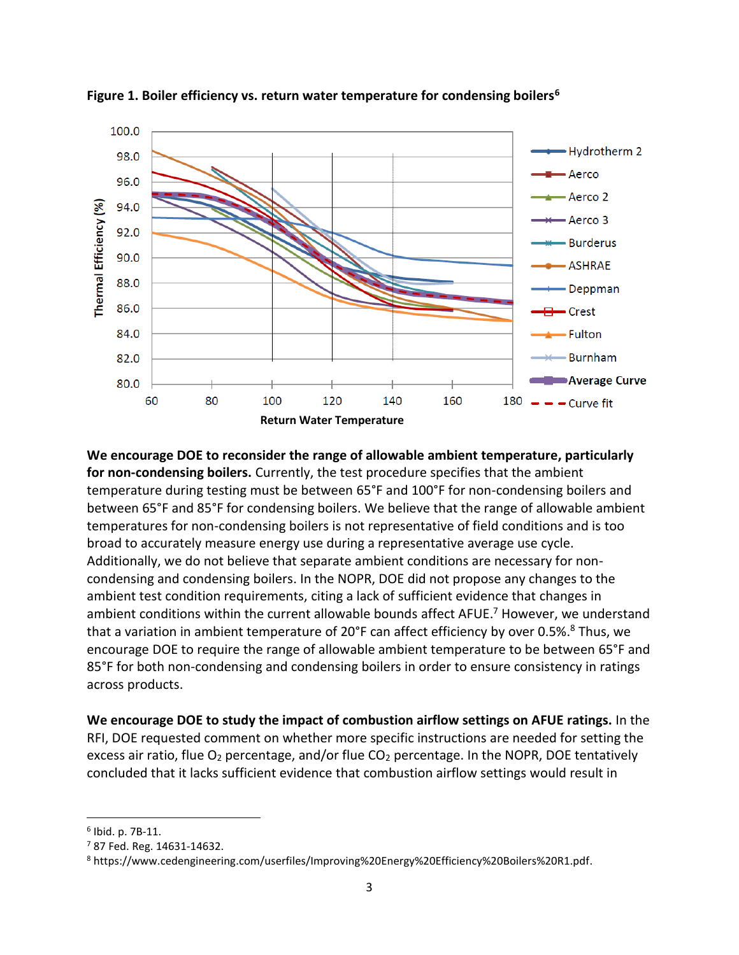

**Figure 1. Boiler efficiency vs. return water temperature for condensing boilers<sup>6</sup>**

**We encourage DOE to reconsider the range of allowable ambient temperature, particularly for non-condensing boilers.** Currently, the test procedure specifies that the ambient temperature during testing must be between 65°F and 100°F for non-condensing boilers and between 65°F and 85°F for condensing boilers. We believe that the range of allowable ambient temperatures for non-condensing boilers is not representative of field conditions and is too broad to accurately measure energy use during a representative average use cycle. Additionally, we do not believe that separate ambient conditions are necessary for noncondensing and condensing boilers. In the NOPR, DOE did not propose any changes to the ambient test condition requirements, citing a lack of sufficient evidence that changes in ambient conditions within the current allowable bounds affect AFUE. <sup>7</sup> However, we understand that a variation in ambient temperature of 20°F can affect efficiency by over 0.5%. <sup>8</sup> Thus, we encourage DOE to require the range of allowable ambient temperature to be between 65°F and 85°F for both non-condensing and condensing boilers in order to ensure consistency in ratings across products.

**We encourage DOE to study the impact of combustion airflow settings on AFUE ratings.** In the RFI, DOE requested comment on whether more specific instructions are needed for setting the excess air ratio, flue O<sub>2</sub> percentage, and/or flue CO<sub>2</sub> percentage. In the NOPR, DOE tentatively concluded that it lacks sufficient evidence that combustion airflow settings would result in

<sup>6</sup> Ibid. p. 7B-11.

 $7$  87 Fed. Reg. 14631-14632.

<sup>8</sup> https://www.cedengineering.com/userfiles/Improving%20Energy%20Efficiency%20Boilers%20R1.pdf.